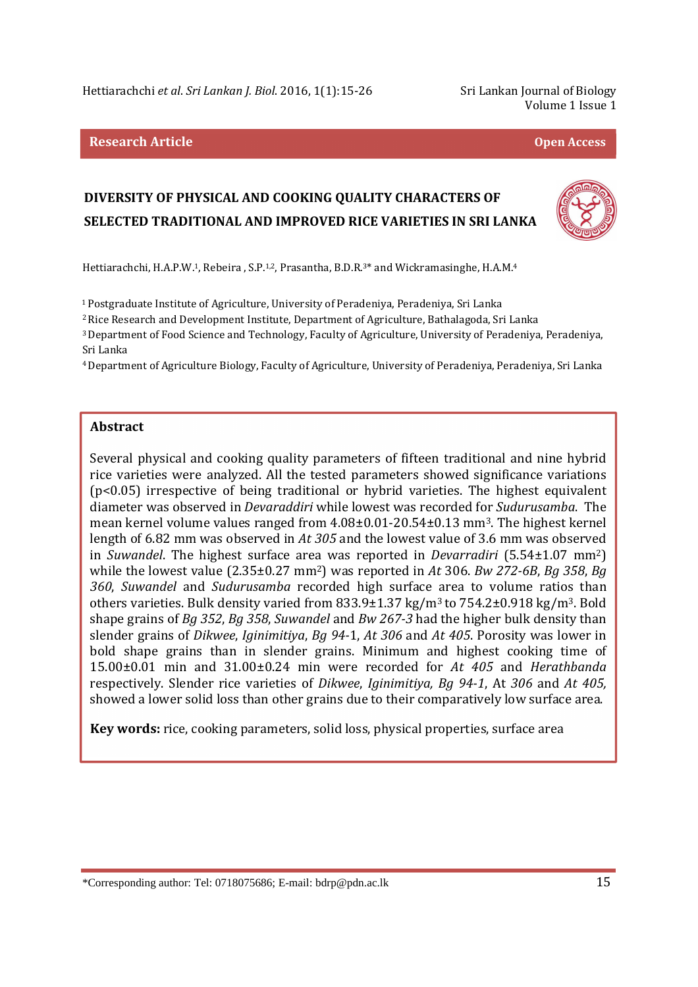Hettiarachchi *et al*. *Sri Lankan J. Biol*. 2016, 1(1):15-26 Sri Lankan Journal of Biology

Volume 1 Issue 1

#### **Research Article Open Access**

# **DIVERSITY OF PHYSICAL AND COOKING QUALITY CHARACTERS OF SELECTED TRADITIONAL AND IMPROVED RICE VARIETIES IN SRI LANKA**



Hettiarachchi, H.A.P.W.<sup>1</sup>, Rebeira, S.P.<sup>1,2</sup>, Prasantha, B.D.R.<sup>3\*</sup> and Wickramasinghe, H.A.M.<sup>4</sup>

<sup>1</sup>Postgraduate Institute of Agriculture, University of Peradeniya, Peradeniya, Sri Lanka

<sup>2</sup> Rice Research and Development Institute, Department of Agriculture, Bathalagoda, Sri Lanka

<sup>3</sup>Department of Food Science and Technology, Faculty of Agriculture, University of Peradeniya, Peradeniya, Sri Lanka

<sup>4</sup>Department of Agriculture Biology, Faculty of Agriculture, University of Peradeniya, Peradeniya, Sri Lanka

#### **Abstract**

Several physical and cooking quality parameters of fifteen traditional and nine hybrid rice varieties were analyzed. All the tested parameters showed significance variations (p<0.05) irrespective of being traditional or hybrid varieties. The highest equivalent diameter was observed in *Devaraddiri* while lowest was recorded for *Sudurusamba*. The mean kernel volume values ranged from 4.08±0.01-20.54±0.13 mm3. The highest kernel length of 6.82 mm was observed in *At 305* and the lowest value of 3.6 mm was observed in *Suwandel*. The highest surface area was reported in *Devarradiri* (5.54±1.07 mm2) while the lowest value (2.35±0.27 mm2) was reported in *At* 306. *Bw 272-6B*, *Bg 358*, *Bg 360*, *Suwandel* and *Sudurusamba* recorded high surface area to volume ratios than others varieties. Bulk density varied from 833.9±1.37 kg/m3 to 754.2±0.918 kg/m3. Bold shape grains of *Bg 352*, *Bg 358*, *Suwandel* and *Bw 267-3* had the higher bulk density than slender grains of *Dikwee*, *Iginimitiya*, *Bg 94-*1, *At 306* and *At 405*. Porosity was lower in bold shape grains than in slender grains. Minimum and highest cooking time of 15.00±0.01 min and 31.00±0.24 min were recorded for *At 405* and *Herathbanda* respectively. Slender rice varieties of *Dikwee*, *Iginimitiya, Bg 94-1*, At *306* and *At 405,*  showed a lower solid loss than other grains due to their comparatively low surface area.

**Key words:** rice, cooking parameters, solid loss, physical properties, surface area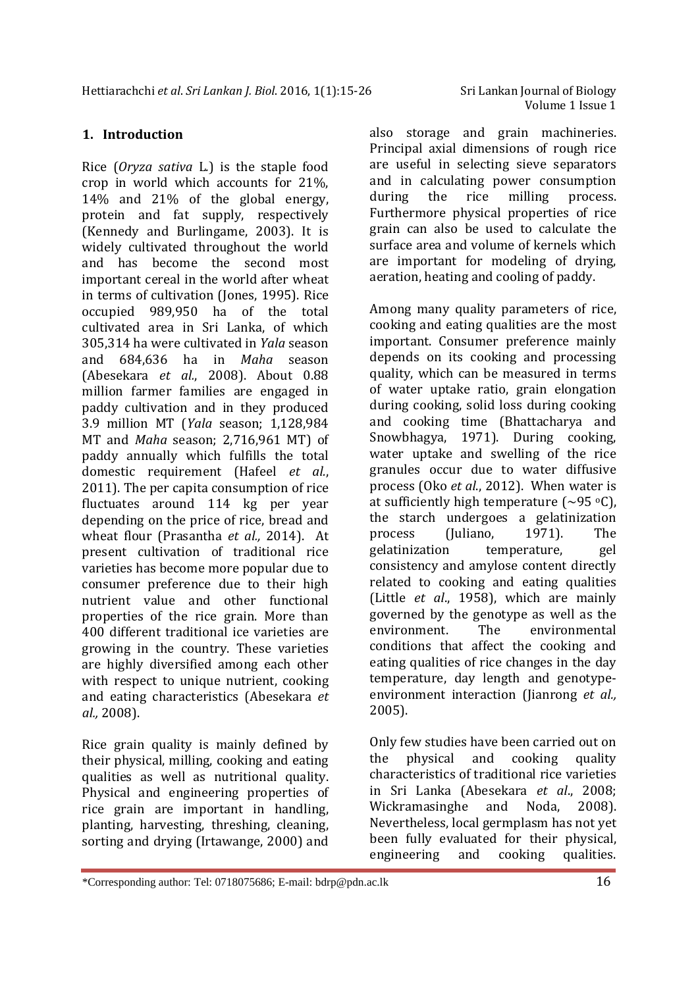# **1. Introduction**

Rice (*Oryza sativa* L*.*) is the staple food crop in world which accounts for 21%, 14% and 21% of the global energy, protein and fat supply, respectively (Kennedy and Burlingame, 2003). It is widely cultivated throughout the world and has become the second most important cereal in the world after wheat in terms of cultivation (Jones, 1995). Rice occupied 989,950 ha of the total cultivated area in Sri Lanka, of which 305,314 ha were cultivated in *Yala* season and 684,636 ha in *Maha* season (Abesekara *et al.*, 2008). About 0.88 million farmer families are engaged in paddy cultivation and in they produced 3.9 million MT (*Yala* season; 1,128,984 MT and *Maha* season; 2,716,961 MT) of paddy annually which fulfills the total domestic requirement (Hafeel *et al.*, 2011). The per capita consumption of rice fluctuates around 114 kg per year depending on the price of rice, bread and wheat flour (Prasantha *et al.,* 2014). At present cultivation of traditional rice varieties has become more popular due to consumer preference due to their high nutrient value and other functional properties of the rice grain. More than 400 different traditional ice varieties are growing in the country. These varieties are highly diversified among each other with respect to unique nutrient, cooking and eating characteristics (Abesekara *et al.,* 2008).

Rice grain quality is mainly defined by their physical, milling, cooking and eating qualities as well as nutritional quality. Physical and engineering properties of rice grain are important in handling, planting, harvesting, threshing, cleaning, sorting and drying (Irtawange, 2000) and

also storage and grain machineries. Principal axial dimensions of rough rice are useful in selecting sieve separators and in calculating power consumption during the rice milling process. Furthermore physical properties of rice grain can also be used to calculate the surface area and volume of kernels which are important for modeling of drying, aeration, heating and cooling of paddy.

Among many quality parameters of rice, cooking and eating qualities are the most important. Consumer preference mainly depends on its cooking and processing quality, which can be measured in terms of water uptake ratio, grain elongation during cooking, solid loss during cooking and cooking time (Bhattacharya and Snowbhagya, 1971). During cooking, water uptake and swelling of the rice granules occur due to water diffusive process (Oko *et al*., 2012). When water is at sufficiently high temperature  $(\sim 95 \text{ °C})$ , the starch undergoes a gelatinization process (Juliano, 1971). The gelatinization temperature, gel consistency and amylose content directly related to cooking and eating qualities (Little *et al*., 1958), which are mainly governed by the genotype as well as the environment. The environmental conditions that affect the cooking and eating qualities of rice changes in the day temperature, day length and genotypeenvironment interaction (Jianrong *et al.,*  2005).

Only few studies have been carried out on the physical and cooking quality characteristics of traditional rice varieties in Sri Lanka (Abesekara *et al*., 2008; Wickramasinghe and Noda, 2008). Nevertheless, local germplasm has not yet been fully evaluated for their physical, engineering and cooking qualities.

<sup>\*</sup>Corresponding author: Tel: 0718075686; E-mail: bdrp@pdn.ac.lk 16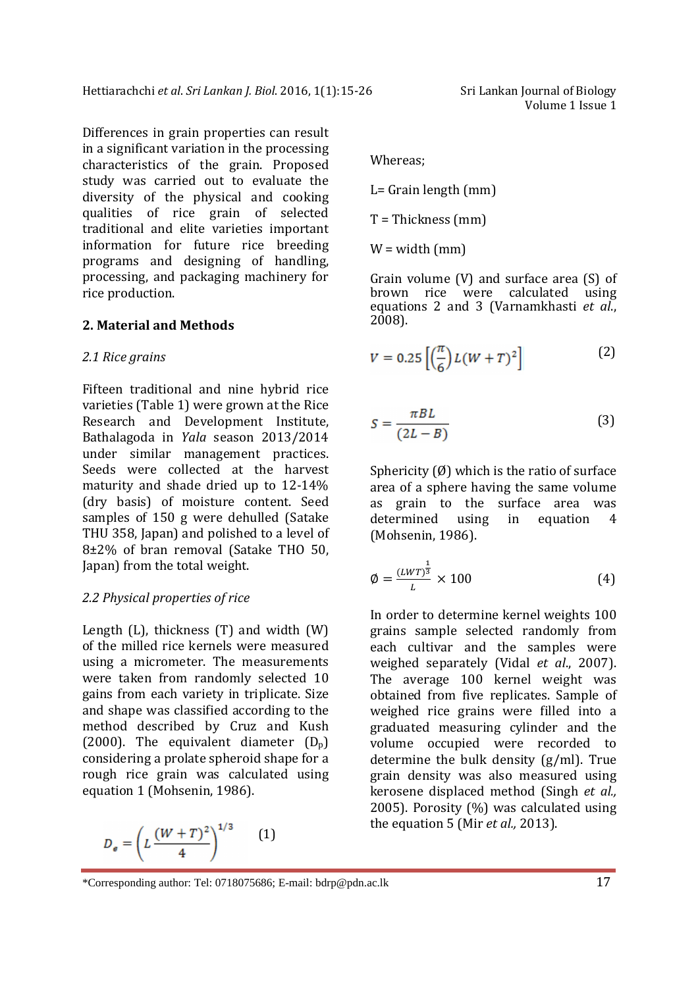Differences in grain properties can result in a significant variation in the processing characteristics of the grain. Proposed study was carried out to evaluate the diversity of the physical and cooking qualities of rice grain of selected traditional and elite varieties important information for future rice breeding programs and designing of handling, processing, and packaging machinery for rice production.

## **2. Material and Methods**

#### *2.1 Rice grains*

Fifteen traditional and nine hybrid rice varieties (Table 1) were grown at the Rice Research and Development Institute, Bathalagoda in *Yala* season 2013/2014 under similar management practices. Seeds were collected at the harvest maturity and shade dried up to 12-14% (dry basis) of moisture content. Seed samples of 150 g were dehulled (Satake THU 358, Japan) and polished to a level of 8±2% of bran removal (Satake THO 50, Japan) from the total weight.

## *2.2 Physical properties of rice*

Length  $(L)$ , thickness  $(T)$  and width  $(W)$ of the milled rice kernels were measured using a micrometer. The measurements were taken from randomly selected 10 gains from each variety in triplicate. Size and shape was classified according to the method described by Cruz and Kush (2000). The equivalent diameter  $(D_p)$ considering a prolate spheroid shape for a rough rice grain was calculated using equation 1 (Mohsenin, 1986).

$$
D_e = \left(L\,\frac{(W+T)^2}{4}\right)^{1/3} \qquad (1)
$$

Volume 1 Issue 1

Whereas;

L= Grain length (mm)

 $T = Thickness$  (mm)

 $W = width (mm)$ 

Grain volume (V) and surface area (S) of brown rice were calculated using equations 2 and 3 (Varnamkhasti *et al*., 2008).

$$
V = 0.25 \left[ \left( \frac{\pi}{6} \right) L (W + T)^2 \right] \tag{2}
$$

$$
S = \frac{\pi BL}{(2L - B)}\tag{3}
$$

Sphericity  $(\emptyset)$  which is the ratio of surface area of a sphere having the same volume as grain to the surface area was determined using in equation 4 (Mohsenin, 1986).

$$
\emptyset = \frac{(LWT)^{\frac{1}{3}}}{L} \times 100\tag{4}
$$

In order to determine kernel weights 100 grains sample selected randomly from each cultivar and the samples were weighed separately (Vidal *et al*., 2007). The average 100 kernel weight was obtained from five replicates. Sample of weighed rice grains were filled into a graduated measuring cylinder and the volume occupied were recorded to determine the bulk density (g/ml). True grain density was also measured using kerosene displaced method (Singh *et al.,* 2005). Porosity (%) was calculated using the equation 5 (Mir *et al.,* 2013).

<sup>\*</sup>Corresponding author: Tel: 0718075686; E-mail: bdrp@pdn.ac.lk 17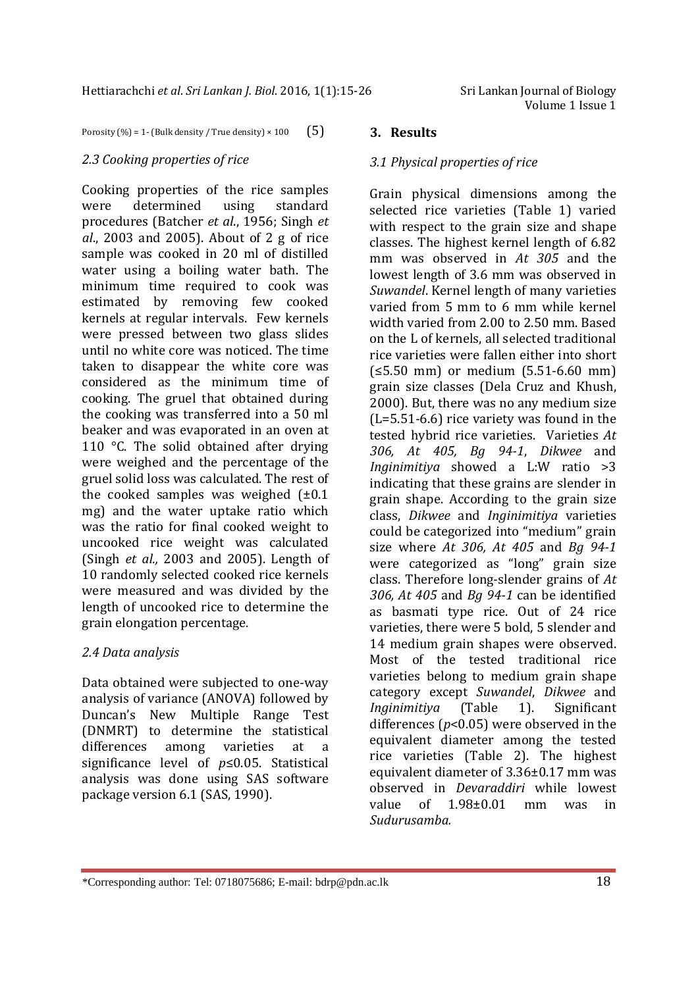Porosity (%) = 1- (Bulk density / True density)  $\times$  100 (5)

## *2.3 Cooking properties of rice*

Cooking properties of the rice samples were determined using standard procedures (Batcher *et al*., 1956; Singh *et al*., 2003 and 2005). About of 2 g of rice sample was cooked in 20 ml of distilled water using a boiling water bath. The minimum time required to cook was estimated by removing few cooked kernels at regular intervals. Few kernels were pressed between two glass slides until no white core was noticed. The time taken to disappear the white core was considered as the minimum time of cooking. The gruel that obtained during the cooking was transferred into a 50 ml beaker and was evaporated in an oven at 110 °C. The solid obtained after drying were weighed and the percentage of the gruel solid loss was calculated. The rest of the cooked samples was weighed  $(\pm 0.1)$ mg) and the water uptake ratio which was the ratio for final cooked weight to uncooked rice weight was calculated (Singh *et al.,* 2003 and 2005). Length of 10 randomly selected cooked rice kernels were measured and was divided by the length of uncooked rice to determine the grain elongation percentage.

# *2.4 Data analysis*

Data obtained were subjected to one-way analysis of variance (ANOVA) followed by Duncan's New Multiple Range Test (DNMRT) to determine the statistical differences among varieties at a significance level of *p*≤0.05. Statistical analysis was done using SAS software package version 6.1 (SAS, 1990).

## **3. Results**

# *3.1 Physical properties of rice*

Grain physical dimensions among the selected rice varieties (Table 1) varied with respect to the grain size and shape classes. The highest kernel length of 6.82 mm was observed in *At 305* and the lowest length of 3.6 mm was observed in *Suwandel*. Kernel length of many varieties varied from 5 mm to 6 mm while kernel width varied from 2.00 to 2.50 mm. Based on the L of kernels, all selected traditional rice varieties were fallen either into short (≤5.50 mm) or medium (5.51-6.60 mm) grain size classes (Dela Cruz and Khush, 2000). But, there was no any medium size (L=5.51-6.6) rice variety was found in the tested hybrid rice varieties. Varieties *At 306, At 405, Bg 94-1*, *Dikwee* and *Inginimitiya* showed a L:W ratio >3 indicating that these grains are slender in grain shape. According to the grain size class, *Dikwee* and *Inginimitiya* varieties could be categorized into "medium" grain size where *At 306, At 405* and *Bg 94-1* were categorized as "long" grain size class. Therefore long-slender grains of *At 306, At 405* and *Bg 94-1* can be identified as basmati type rice. Out of 24 rice varieties, there were 5 bold, 5 slender and 14 medium grain shapes were observed. Most of the tested traditional rice varieties belong to medium grain shape category except *Suwandel*, *Dikwee* and *Inginimitiya* (Table 1). Significant differences (*p*<0.05) were observed in the equivalent diameter among the tested rice varieties (Table 2). The highest equivalent diameter of 3.36±0.17 mm was observed in *Devaraddiri* while lowest value of 1.98±0.01 mm was in *Sudurusamba.*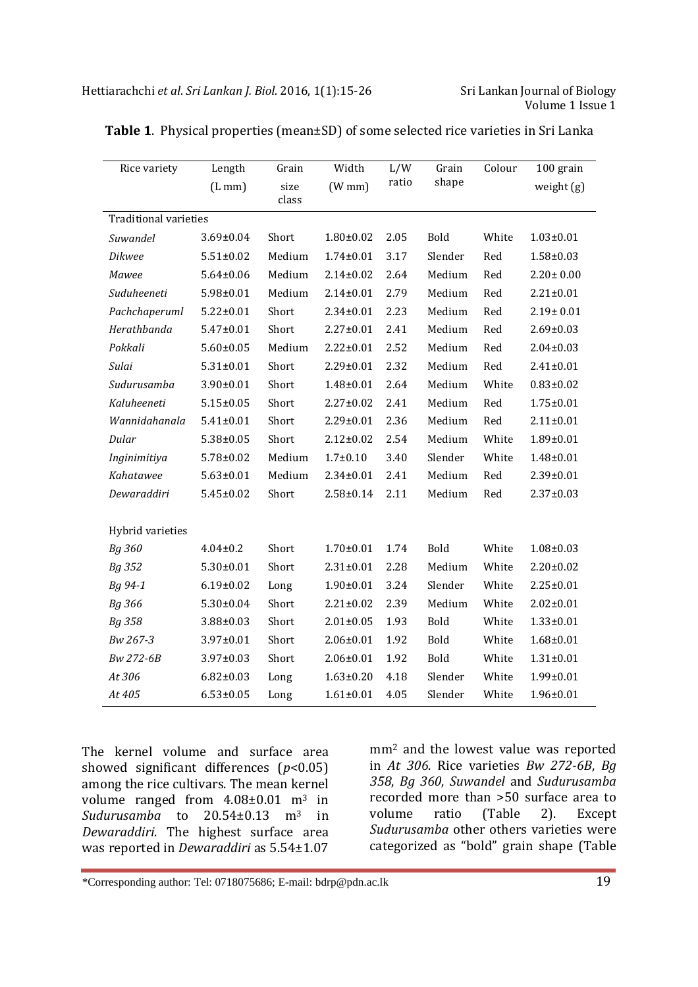| Rice variety                 | Length          | Grain  | Width              | L/W   | Grain       | Colour | 100 grain       |
|------------------------------|-----------------|--------|--------------------|-------|-------------|--------|-----------------|
|                              | (Lmm)           | size   | $(W \, \text{mm})$ | ratio | shape       |        | weight $(g)$    |
|                              |                 | class  |                    |       |             |        |                 |
| <b>Traditional varieties</b> |                 |        |                    |       |             |        |                 |
| Suwandel                     | 3.69±0.04       | Short  | $1.80 \pm 0.02$    | 2.05  | Bold        | White  | $1.03 \pm 0.01$ |
| <b>Dikwee</b>                | $5.51 \pm 0.02$ | Medium | $1.74 \pm 0.01$    | 3.17  | Slender     | Red    | $1.58 \pm 0.03$ |
| Mawee                        | $5.64 \pm 0.06$ | Medium | $2.14 \pm 0.02$    | 2.64  | Medium      | Red    | $2.20 \pm 0.00$ |
| Suduheeneti                  | $5.98 \pm 0.01$ | Medium | $2.14 \pm 0.01$    | 2.79  | Medium      | Red    | $2.21 \pm 0.01$ |
| Pachchaperuml                | $5.22 \pm 0.01$ | Short  | $2.34 \pm 0.01$    | 2.23  | Medium      | Red    | $2.19 \pm 0.01$ |
| Herathbanda                  | $5.47 \pm 0.01$ | Short  | $2.27 \pm 0.01$    | 2.41  | Medium      | Red    | $2.69 \pm 0.03$ |
| Pokkali                      | $5.60 \pm 0.05$ | Medium | $2.22 \pm 0.01$    | 2.52  | Medium      | Red    | $2.04 \pm 0.03$ |
| Sulai                        | $5.31 \pm 0.01$ | Short  | 2.29±0.01          | 2.32  | Medium      | Red    | $2.41 \pm 0.01$ |
| Sudurusamba                  | $3.90 \pm 0.01$ | Short  | $1.48 \pm 0.01$    | 2.64  | Medium      | White  | $0.83 \pm 0.02$ |
| Kaluheeneti                  | $5.15 \pm 0.05$ | Short  | $2.27 \pm 0.02$    | 2.41  | Medium      | Red    | $1.75 \pm 0.01$ |
| Wannidahanala                | $5.41 \pm 0.01$ | Short  | 2.29±0.01          | 2.36  | Medium      | Red    | $2.11 \pm 0.01$ |
| Dular                        | $5.38 \pm 0.05$ | Short  | $2.12 \pm 0.02$    | 2.54  | Medium      | White  | $1.89 \pm 0.01$ |
| Inginimitiya                 | $5.78 \pm 0.02$ | Medium | $1.7 + 0.10$       | 3.40  | Slender     | White  | $1.48 \pm 0.01$ |
| Kahatawee                    | $5.63 \pm 0.01$ | Medium | $2.34 \pm 0.01$    | 2.41  | Medium      | Red    | $2.39 \pm 0.01$ |
| Dewaraddiri                  | $5.45 \pm 0.02$ | Short  | $2.58 \pm 0.14$    | 2.11  | Medium      | Red    | $2.37 \pm 0.03$ |
|                              |                 |        |                    |       |             |        |                 |
| Hybrid varieties             |                 |        |                    |       |             |        |                 |
| Bg 360                       | $4.04 \pm 0.2$  | Short  | $1.70 \pm 0.01$    | 1.74  | Bold        | White  | $1.08 \pm 0.03$ |
| Bg 352                       | $5.30 \pm 0.01$ | Short  | $2.31 \pm 0.01$    | 2.28  | Medium      | White  | $2.20 \pm 0.02$ |
| Bg 94-1                      | $6.19 \pm 0.02$ | Long   | $1.90 \pm 0.01$    | 3.24  | Slender     | White  | $2.25 \pm 0.01$ |
| Bg 366                       | $5.30 \pm 0.04$ | Short  | $2.21 \pm 0.02$    | 2.39  | Medium      | White  | $2.02 \pm 0.01$ |
| Bg 358                       | $3.88 \pm 0.03$ | Short  | $2.01 \pm 0.05$    | 1.93  | Bold        | White  | $1.33 \pm 0.01$ |
| Bw 267-3                     | 3.97±0.01       | Short  | $2.06 \pm 0.01$    | 1.92  | <b>Bold</b> | White  | $1.68 \pm 0.01$ |
| Bw 272-6B                    | $3.97 \pm 0.03$ | Short  | $2.06 \pm 0.01$    | 1.92  | Bold        | White  | $1.31 \pm 0.01$ |
| At 306                       | $6.82 \pm 0.03$ | Long   | $1.63 \pm 0.20$    | 4.18  | Slender     | White  | $1.99 \pm 0.01$ |
| At 405                       | $6.53 \pm 0.05$ | Long   | $1.61 \pm 0.01$    | 4.05  | Slender     | White  | $1.96 \pm 0.01$ |

The kernel volume and surface area showed significant differences ( $p$ <0.05) among the rice cultivars. The mean kernel volume ranged from  $4.08\pm0.01$  m<sup>3</sup> in *Sudurusamba* to 20.54±0.13 m3 in *Dewaraddiri*. The highest surface area was reported in *Dewaraddiri* as 5.54±1.07

mm2 and the lowest value was reported in *At 306*. Rice varieties *Bw 272-6B*, *Bg 358*, *Bg 360*, *Suwandel* and *Sudurusamba*  recorded more than >50 surface area to volume ratio (Table 2). Except *Sudurusamba* other others varieties were categorized as "bold" grain shape (Table

```
*Corresponding author: Tel: 0718075686; E-mail: bdrp@pdn.ac.lk 19
```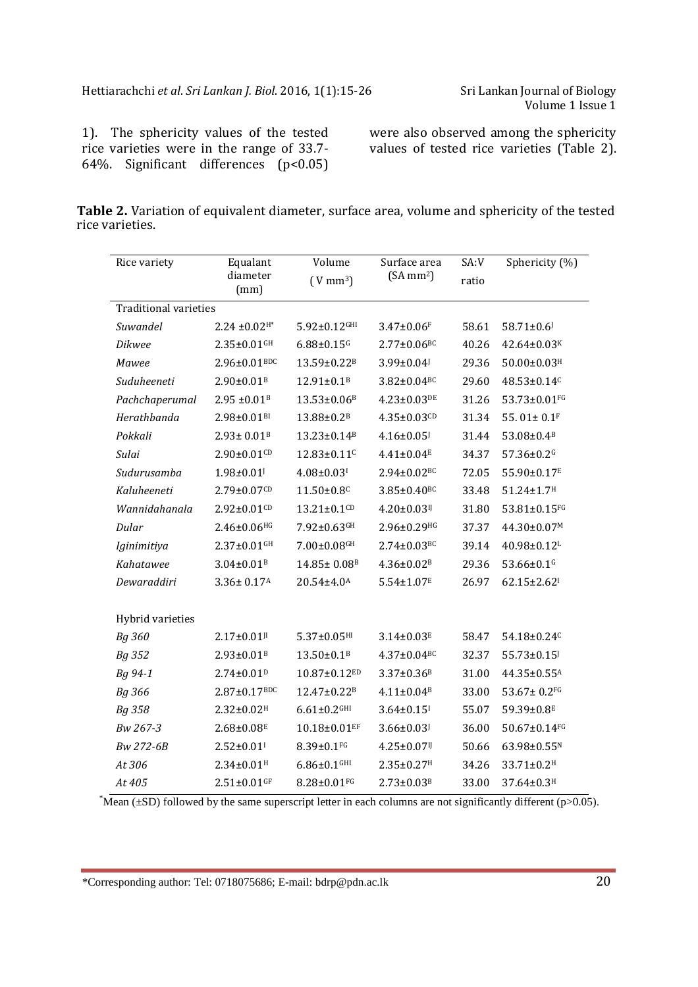1). The sphericity values of the tested rice varieties were in the range of 33.7- 64%. Significant differences (p<0.05)

were also observed among the sphericity values of tested rice varieties (Table 2).

| <b>Table 2.</b> Variation of equivalent diameter, surface area, volume and sphericity of the tested |  |  |  |  |  |
|-----------------------------------------------------------------------------------------------------|--|--|--|--|--|
| rice varieties.                                                                                     |  |  |  |  |  |

| Rice variety                 | Equalant                      | Volume                        | Surface area                  | SA:V  | Sphericity (%)                   |  |
|------------------------------|-------------------------------|-------------------------------|-------------------------------|-------|----------------------------------|--|
|                              | diameter<br>(mm)              | $(V \, \text{mm}^3)$          | $(SA \, mm^2)$                | ratio |                                  |  |
| <b>Traditional varieties</b> |                               |                               |                               |       |                                  |  |
| Suwandel                     | $2.24 \pm 0.02$ <sup>H*</sup> | $5.92 \pm 0.12$ GHI           | $3.47 \pm 0.06$ F             | 58.61 | $58.71 \pm 0.6$                  |  |
| <b>Dikwee</b>                | $2.35 \pm 0.01$ GH            | $6.88 \pm 0.15$ <sup>G</sup>  | $2.77 \pm 0.06^{BC}$          | 40.26 | 42.64±0.03K                      |  |
| <b>Mawee</b>                 | $2.96 \pm 0.01^{BDC}$         | 13.59±0.22 <sup>B</sup>       | 3.99±0.04                     | 29.36 | $50.00 \pm 0.03$ <sup>H</sup>    |  |
| Suduheeneti                  | $2.90 \pm 0.01$ <sup>B</sup>  | 12.91±0.1 <sup>B</sup>        | $3.82 \pm 0.04$ <sup>BC</sup> | 29.60 | 48.53±0.14 <sup>c</sup>          |  |
| Pachchaperumal               | $2.95 \pm 0.01$ <sup>B</sup>  | 13.53±0.06 <sup>B</sup>       | $4.23 \pm 0.03$ DE            | 31.26 | 53.73±0.01FG                     |  |
| Herathbanda                  | $2.98 \pm 0.01$ <sup>BI</sup> | 13.88±0.2 <sup>B</sup>        | $4.35 \pm 0.03$ CD            | 31.34 | 55.01± $0.1$ <sup>F</sup>        |  |
| Pokkali                      | $2.93 \pm 0.01$ <sup>B</sup>  | 13.23±0.14 <sup>B</sup>       | $4.16 \pm 0.05$               | 31.44 | $53.08{\pm}0.4^{\text{\tiny B}}$ |  |
| Sulai                        | $2.90 \pm 0.01$ CD            | 12.83±0.11 <sup>c</sup>       | $4.41 \pm 0.04$ <sup>E</sup>  | 34.37 | 57.36±0.2 <sup>G</sup>           |  |
| Sudurusamba                  | $1.98 \pm 0.01$               | $4.08 \pm 0.03$ <sup>I</sup>  | $2.94 \pm 0.02$ <sup>BC</sup> | 72.05 | 55.90±0.17E                      |  |
| Kaluheeneti                  | $2.79 \pm 0.07$ CD            | 11.50±0.8C                    | $3.85 \pm 0.40$ <sup>BC</sup> | 33.48 | $51.24 \pm 1.7$ <sup>H</sup>     |  |
| Wannidahanala                | $2.92 \pm 0.01$ CD            | $13.21 \pm 0.1$ CD            | $4.20 \pm 0.03$ <sup>IJ</sup> | 31.80 | 53.81±0.15FG                     |  |
| Dular                        | $2.46 \pm 0.06^{HG}$          | $7.92 \pm 0.63$ GH            | $2.96 \pm 0.29$ HG            | 37.37 | 44.30±0.07M                      |  |
| Iginimitiya                  | $2.37 \pm 0.01$ GH            | $7.00 \pm 0.08$ GH            | $2.74 \pm 0.03$ <sup>BC</sup> | 39.14 | 40.98±0.12L                      |  |
| Kahatawee                    | $3.04 \pm 0.01$ <sup>B</sup>  | 14.85± 0.08 <sup>B</sup>      | $4.36 \pm 0.02$ <sup>B</sup>  | 29.36 | 53.66±0.1G                       |  |
| Dewaraddiri                  | $3.36 \pm 0.17$ <sup>A</sup>  | 20.54±4.0 <sup>A</sup>        | $5.54 \pm 1.07$ <sup>E</sup>  | 26.97 | 62.15±2.62 <sup>1</sup>          |  |
|                              |                               |                               |                               |       |                                  |  |
| Hybrid varieties             |                               |                               |                               |       |                                  |  |
| Bg 360                       | $2.17 \pm 0.01$ <sup>II</sup> | $5.37 \pm 0.05$ <sup>HI</sup> | $3.14 \pm 0.03$ <sup>E</sup>  | 58.47 | 54.18±0.24 <sup>c</sup>          |  |
| Bg 352                       | $2.93 \pm 0.01$ <sup>B</sup>  | $13.50 \pm 0.1$ <sup>B</sup>  | $4.37 \pm 0.04$ <sup>BC</sup> | 32.37 | 55.73±0.15                       |  |
| Bg 94-1                      | $2.74 \pm 0.01$ <sup>D</sup>  | 10.87±0.12ED                  | $3.37 \pm 0.36$ <sup>B</sup>  | 31.00 | 44.35±0.55A                      |  |
| Bg 366                       | $2.87 \pm 0.17^{BDC}$         | 12.47±0.22 <sup>B</sup>       | $4.11 \pm 0.04$ <sup>B</sup>  | 33.00 | $53.67 \pm 0.2$ FG               |  |
| Bg 358                       | $2.32 \pm 0.02$ <sup>H</sup>  | $6.61 \pm 0.2$ GHI            | $3.64 \pm 0.15$ <sup>I</sup>  | 55.07 | 59.39±0.8 <sup>E</sup>           |  |
| Bw 267-3                     | $2.68 \pm 0.08$ <sup>E</sup>  | $10.18 \pm 0.01$ EF           | $3.66 \pm 0.03$               | 36.00 | $50.67 \pm 0.14$ FG              |  |
| Bw 272-6B                    | $2.52 \pm 0.01$ <sup>I</sup>  | $8.39 \pm 0.1$ FG             | $4.25 \pm 0.07$ <sup>II</sup> | 50.66 | 63.98±0.55N                      |  |
| At 306                       | $2.34 \pm 0.01$ <sup>H</sup>  | $6.86 \pm 0.1$ GHI            | $2.35 \pm 0.27$ <sup>H</sup>  | 34.26 | 33.71±0.2 <sup>H</sup>           |  |
| At 405                       | $2.51 \pm 0.01$ GF            | $8.28 \pm 0.01$ FG            | $2.73 \pm 0.03$ <sup>B</sup>  | 33.00 | 37.64±0.3 <sup>H</sup>           |  |

\*Mean ( $\pm$ SD) followed by the same superscript letter in each columns are not significantly different (p>0.05).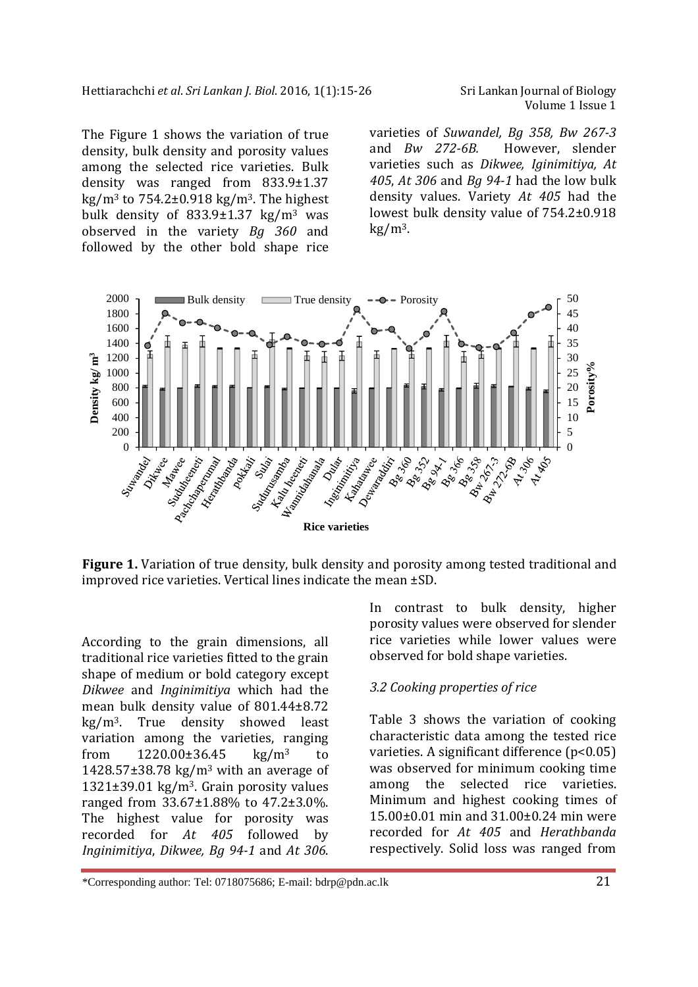The Figure 1 shows the variation of true density, bulk density and porosity values among the selected rice varieties. Bulk density was ranged from 833.9±1.37 kg/m<sup>3</sup> to  $754.2\pm0.918$  kg/m<sup>3</sup>. The highest bulk density of  $833.9 \pm 1.37$  kg/m<sup>3</sup> was observed in the variety *Bg 360* and followed by the other bold shape rice

Volume 1 Issue 1

varieties of *Suwandel, Bg 358, Bw 267-3*  and *Bw 272-6B.* However, slender varieties such as *Dikwee, Iginimitiya, At 405*, *At 306* and *Bg 94-1* had the low bulk density values. Variety *At 405* had the lowest bulk density value of 754.2±0.918  $kg/m<sup>3</sup>$ .



**Figure 1.** Variation of true density, bulk density and porosity among tested traditional and improved rice varieties. Vertical lines indicate the mean ±SD.

According to the grain dimensions, all traditional rice varieties fitted to the grain shape of medium or bold category except *Dikwee* and *Inginimitiya* which had the mean bulk density value of 801.44±8.72 kg/m<sup>3</sup>. True density showed least variation among the varieties, ranging from  $1220.00\pm36.45$  kg/m<sup>3</sup> to 1428.57 $\pm$ 38.78 kg/m<sup>3</sup> with an average of 1321 $\pm$ 39.01 kg/m<sup>3</sup>. Grain porosity values ranged from 33.67±1.88% to 47.2±3.0%. The highest value for porosity was recorded for *At 405* followed by *Inginimitiya*, *Dikwee, Bg 94-1* and *At 306*.

In contrast to bulk density, higher porosity values were observed for slender rice varieties while lower values were observed for bold shape varieties.

#### *3.2 Cooking properties of rice*

Table 3 shows the variation of cooking characteristic data among the tested rice varieties. A significant difference (p<0.05) was observed for minimum cooking time among the selected rice varieties. Minimum and highest cooking times of 15.00±0.01 min and 31.00±0.24 min were recorded for *At 405* and *Herathbanda* respectively. Solid loss was ranged from

<sup>\*</sup>Corresponding author: Tel: 0718075686; E-mail: bdrp@pdn.ac.lk 21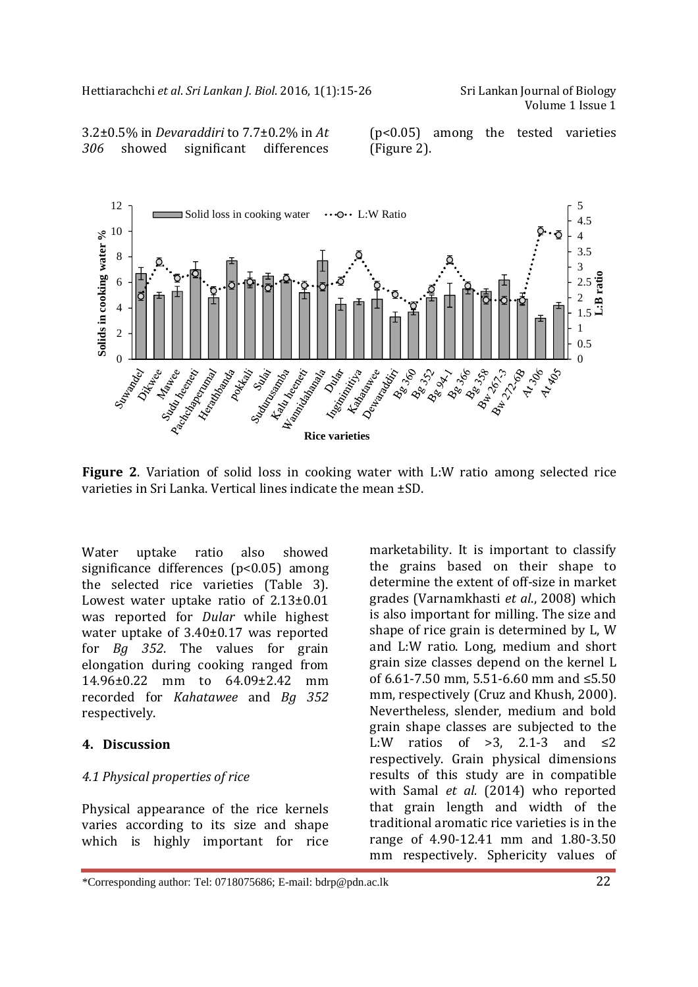Volume 1 Issue 1

3.2±0.5% in *Devaraddiri* to 7.7±0.2% in *At 306* showed significant differences (p<0.05) among the tested varieties (Figure 2).



**Figure 2.** Variation of solid loss in cooking water with L:W ratio among selected rice varieties in Sri Lanka. Vertical lines indicate the mean ±SD.

Water uptake ratio also showed significance differences (p<0.05) among the selected rice varieties (Table 3). Lowest water uptake ratio of 2.13±0.01 was reported for *Dular* while highest water uptake of 3.40±0.17 was reported for *Bg 352*. The values for grain elongation during cooking ranged from 14.96±0.22 mm to 64.09±2.42 mm recorded for *Kahatawee* and *Bg 352*  respectively.

#### **4. Discussion**

## *4.1 Physical properties of rice*

Physical appearance of the rice kernels varies according to its size and shape which is highly important for rice

marketability. It is important to classify the grains based on their shape to determine the extent of off-size in market grades (Varnamkhasti *et al*., 2008) which is also important for milling. The size and shape of rice grain is determined by L, W and L:W ratio. Long, medium and short grain size classes depend on the kernel L of 6.61-7.50 mm, 5.51-6.60 mm and ≤5.50 mm, respectively (Cruz and Khush, 2000). Nevertheless, slender, medium and bold grain shape classes are subjected to the L:W ratios of  $>3$ , 2.1-3 and  $\leq 2$ respectively. Grain physical dimensions results of this study are in compatible with Samal *et al.* (2014) who reported that grain length and width of the traditional aromatic rice varieties is in the range of 4.90-12.41 mm and 1.80-3.50 mm respectively. Sphericity values of

<sup>\*</sup>Corresponding author: Tel: 0718075686; E-mail: bdrp@pdn.ac.lk 22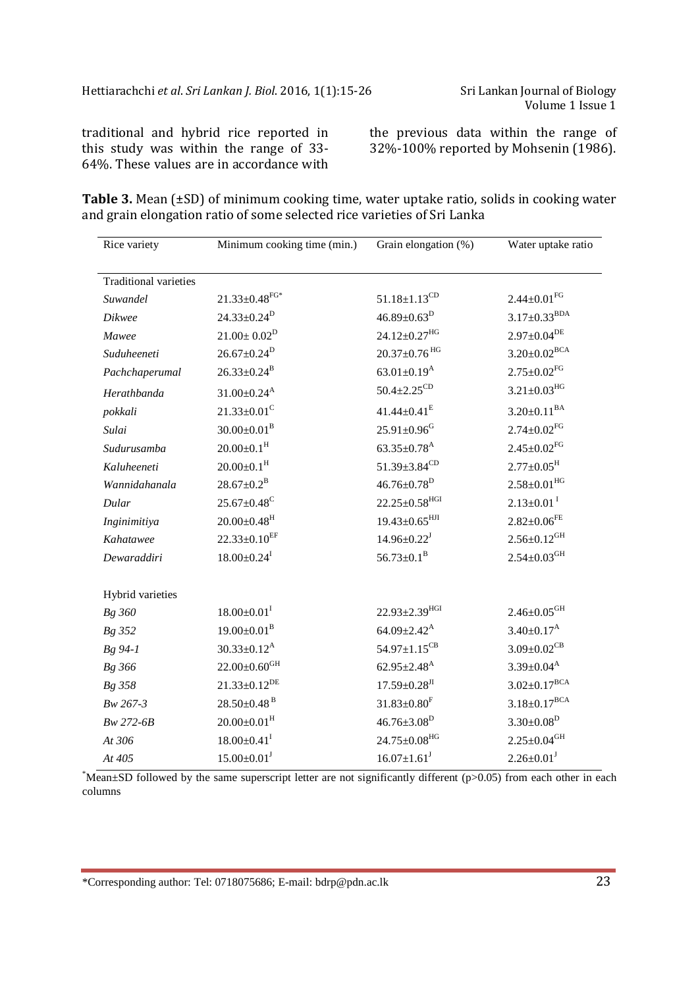traditional and hybrid rice reported in this study was within the range of 33- 64%. These values are in accordance with

the previous data within the range of 32%-100% reported by Mohsenin (1986).

**Table 3.** Mean (±SD) of minimum cooking time, water uptake ratio, solids in cooking water and grain elongation ratio of some selected rice varieties of Sri Lanka

| Rice variety                 | Minimum cooking time (min.)   | Grain elongation (%)            | Water uptake ratio             |  |
|------------------------------|-------------------------------|---------------------------------|--------------------------------|--|
|                              |                               |                                 |                                |  |
| <b>Traditional varieties</b> |                               |                                 |                                |  |
| Suwandel                     | $21.33 \pm 0.48 ^{\rm FG*}$   | $51.18 \pm 1.13$ <sup>CD</sup>  | $2.44 \pm 0.01$ <sup>FG</sup>  |  |
| <b>Dikwee</b>                | $24.33 \pm 0.24^D$            | $46.89 \pm 0.63^D$              | $3.17 \pm 0.33$ <sup>BDA</sup> |  |
| Mawee                        | $21.00 \pm 0.02^D$            | $24.12 \pm 0.27$ <sup>HG</sup>  | $2.97\pm0.04^\mathrm{DE}$      |  |
| Suduheeneti                  | $26.67 \pm 0.24^D$            | $20.37 \pm 0.76$ <sup>HG</sup>  | $3.20\pm0.02^{\mathrm{BCA}}$   |  |
| Pachchaperumal               | $26.33 \pm 0.24^{\rm B}$      | 63.01 $\pm$ 0.19 <sup>A</sup>   | $2.75 \pm 0.02$ <sup>FG</sup>  |  |
| Herathbanda                  | $31.00 \pm 0.24$ <sup>A</sup> | $50.4 \pm 2.25^{\rm CD}$        | $3.21 \pm 0.03$ <sup>HG</sup>  |  |
| pokkali                      | $21.33 \pm 0.01$ <sup>C</sup> | $41.44 \pm 0.41^E$              | $3.20 \pm 0.11^{BA}$           |  |
| Sulai                        | $30.00 \pm 0.01^{\rm B}$      | $25.91 \pm 0.96$ <sup>G</sup>   | $2.74 \pm 0.02$ <sup>FG</sup>  |  |
| Sudurusamba                  | $20.00 \pm 0.1$ <sup>H</sup>  | $63.35 \pm 0.78$ <sup>A</sup>   | $2.45 \pm 0.02$ <sup>FG</sup>  |  |
| Kaluheeneti                  | $20.00 \pm 0.1$ <sup>H</sup>  | 51.39 $\pm$ 3.84 <sup>CD</sup>  | $2.77 \pm 0.05^{\text{H}}$     |  |
| Wannidahanala                | $28.67 \pm 0.2^B$             | $46.76 \pm 0.78$ <sup>D</sup>   | $2.58 \pm 0.01$ <sup>HG</sup>  |  |
| Dular                        | $25.67 \pm 0.48$ <sup>C</sup> | $22.25 \pm 0.58$ <sup>HGI</sup> | $2.13 \pm 0.01$ <sup>I</sup>   |  |
| Inginimitiya                 | $20.00 \pm 0.48$ <sup>H</sup> | $19.43 \pm 0.65$ <sup>HJI</sup> | $2.82 \pm 0.06$ <sup>FE</sup>  |  |
| Kahatawee                    | $22.33 \pm 0.10^{EF}$         | $14.96 \pm 0.22$ <sup>J</sup>   | $2.56 \pm 0.12$ <sup>GH</sup>  |  |
| Dewaraddiri                  | $18.00 \pm 0.24$ <sup>I</sup> | $56.73 \pm 0.1^{\text{B}}$      | $2.54 \pm 0.03$ <sup>GH</sup>  |  |
| Hybrid varieties             |                               |                                 |                                |  |
| Bg 360                       | $18.00 \pm 0.01^{\text{I}}$   | $22.93 \pm 2.39$ <sup>HGI</sup> | $2.46 \pm 0.05$ <sup>GH</sup>  |  |
| Bg 352                       | $19.00 \pm 0.01^{\text{B}}$   | $64.09 \pm 2.42^{\text{A}}$     | $3.40 \pm 0.17^{\rm A}$        |  |
| Bg 94-1                      | $30.33 \pm 0.12^{\text{A}}$   | $54.97 \pm 1.15^{\rm CB}$       | $3.09 \pm 0.02$ <sup>CB</sup>  |  |
| Bg 366                       | $22.00\pm0.60$ <sup>GH</sup>  | $62.95 \pm 2.48$ <sup>A</sup>   | $3.39{\pm}0.04^\mathrm{A}$     |  |
| Bg 358                       | $21.33 \pm 0.12^{DE}$         | $17.59 \pm 0.28$ <sup>JI</sup>  | $3.02 \pm 0.17^{BCA}$          |  |
| Bw 267-3                     | $28.50\pm0.48$ <sup>B</sup>   | $31.83 \pm 0.80$ <sup>F</sup>   | $3.18 \pm 0.17^{BCA}$          |  |
| Bw 272-6B                    | $20.00 \pm 0.01$ <sup>H</sup> | $46.76 \pm 3.08^D$              | $3.30 \pm 0.08^D$              |  |
| At 306                       | $18.00 \pm 0.41$ <sup>I</sup> | $24.75 \pm 0.08$ <sup>HG</sup>  | $2.25 \pm 0.04$ <sup>GH</sup>  |  |
| At 405                       | $15.00 \pm 0.01$ <sup>J</sup> | $16.07 \pm 1.61$ <sup>J</sup>   | $2.26 \pm 0.01$ <sup>J</sup>   |  |
|                              |                               |                                 |                                |  |

\*Mean $\pm$ SD followed by the same superscript letter are not significantly different (p>0.05) from each other in each columns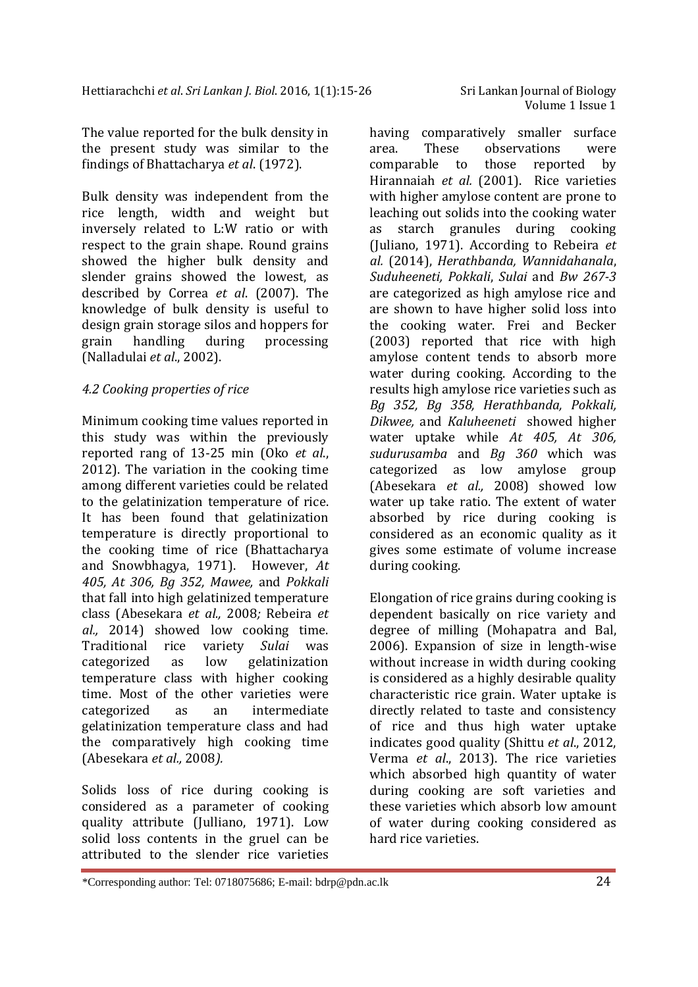The value reported for the bulk density in the present study was similar to the findings of Bhattacharya *et al*. (1972).

Bulk density was independent from the rice length, width and weight but inversely related to L:W ratio or with respect to the grain shape. Round grains showed the higher bulk density and slender grains showed the lowest, as described by Correa *et al*. (2007). The knowledge of bulk density is useful to design grain storage silos and hoppers for grain handling during processing (Nalladulai *et al*., 2002).

## *4.2 Cooking properties of rice*

Minimum cooking time values reported in this study was within the previously reported rang of 13-25 min (Oko *et al*., 2012). The variation in the cooking time among different varieties could be related to the gelatinization temperature of rice. It has been found that gelatinization temperature is directly proportional to the cooking time of rice (Bhattacharya and Snowbhagya, 1971). However, *At 405, At 306, Bg 352, Mawee,* and *Pokkali* that fall into high gelatinized temperature class (Abesekara *et al.,* 2008*;* Rebeira *et al.,* 2014) showed low cooking time. Traditional rice variety *Sulai* was categorized as low gelatinization temperature class with higher cooking time. Most of the other varieties were categorized as an intermediate gelatinization temperature class and had the comparatively high cooking time (Abesekara *et al.,* 2008*).*

Solids loss of rice during cooking is considered as a parameter of cooking quality attribute (Julliano, 1971). Low solid loss contents in the gruel can be attributed to the slender rice varieties

having comparatively smaller surface area. These observations were comparable to those reported by Hirannaiah *et al.* (2001). Rice varieties with higher amylose content are prone to leaching out solids into the cooking water as starch granules during cooking (Juliano, 1971). According to Rebeira *et al.* (2014), *Herathbanda, Wannidahanala*, *Suduheeneti, Pokkali*, *Sulai* and *Bw 267-3*  are categorized as high amylose rice and are shown to have higher solid loss into the cooking water. Frei and Becker (2003) reported that rice with high amylose content tends to absorb more water during cooking. According to the results high amylose rice varieties such as *Bg 352, Bg 358, Herathbanda, Pokkali, Dikwee,* and *Kaluheeneti* showed higher water uptake while *At 405, At 306, sudurusamba* and *Bg 360* which was categorized as low amylose group (Abesekara *et al.,* 2008) showed low water up take ratio. The extent of water absorbed by rice during cooking is considered as an economic quality as it gives some estimate of volume increase during cooking.

Elongation of rice grains during cooking is dependent basically on rice variety and degree of milling (Mohapatra and Bal, 2006). Expansion of size in length-wise without increase in width during cooking is considered as a highly desirable quality characteristic rice grain. Water uptake is directly related to taste and consistency of rice and thus high water uptake indicates good quality (Shittu *et al*., 2012, Verma *et al*., 2013). The rice varieties which absorbed high quantity of water during cooking are soft varieties and these varieties which absorb low amount of water during cooking considered as hard rice varieties.

<sup>\*</sup>Corresponding author: Tel: 0718075686; E-mail: bdrp@pdn.ac.lk 24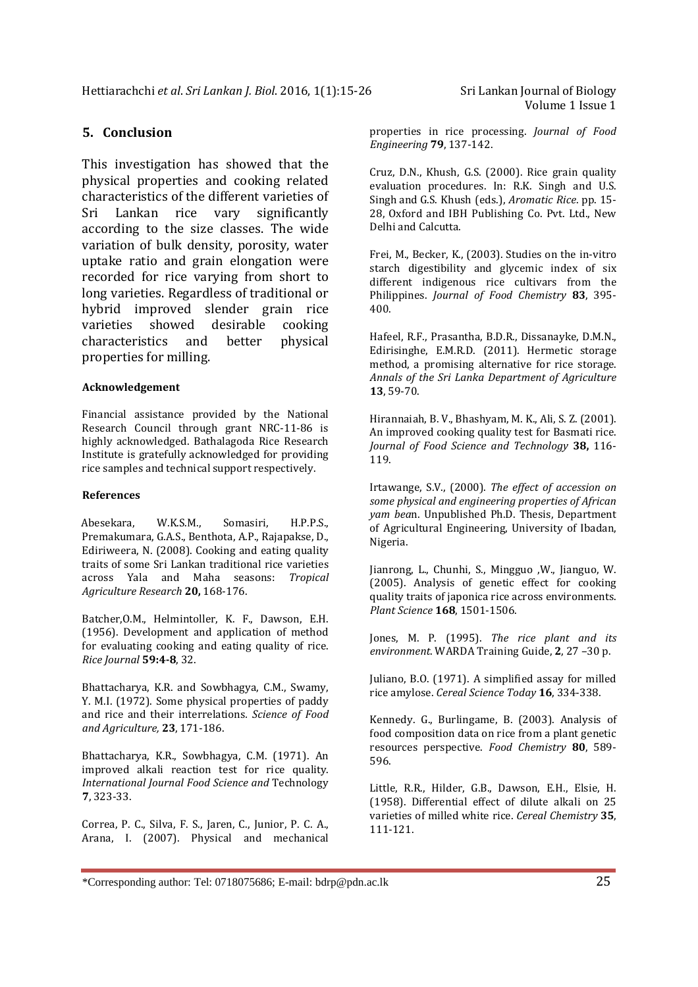## **5. Conclusion**

This investigation has showed that the physical properties and cooking related characteristics of the different varieties of Sri Lankan rice vary significantly according to the size classes. The wide variation of bulk density, porosity, water uptake ratio and grain elongation were recorded for rice varying from short to long varieties. Regardless of traditional or hybrid improved slender grain rice varieties showed desirable cooking characteristics and better physical properties for milling.

#### **Acknowledgement**

Financial assistance provided by the National Research Council through grant NRC-11-86 is highly acknowledged. Bathalagoda Rice Research Institute is gratefully acknowledged for providing rice samples and technical support respectively.

#### **References**

 Abesekara, W.K.S.M., Somasiri, H.P.P.S., Premakumara, G.A.S., Benthota, A.P., Rajapakse, D., Ediriweera, N. (2008). Cooking and eating quality traits of some Sri Lankan traditional rice varieties across Yala and Maha seasons: *Tropical Agriculture Research* **20,** 168-176.

Batcher,O.M., Helmintoller, K. F., Dawson, E.H. (1956). Development and application of method for evaluating cooking and eating quality of rice. *Rice Journal* **59:4-8**, 32.

Bhattacharya, K.R. and Sowbhagya, C.M., Swamy, Y. M.I. (1972). Some physical properties of paddy and rice and their interrelations*. Science of Food and Agriculture,* **23**, 171-186.

Bhattacharya, K.R., Sowbhagya, C.M. (1971). An improved alkali reaction test for rice quality. *International Journal Food Science and* Technology **7**, 323-33.

Correa, P. C., Silva, F. S., Jaren, C., Junior, P. C. A., Arana, I. (2007). Physical and mechanical properties in rice processing. *Journal of Food Engineering* **79**, 137-142.

Cruz, D.N., Khush, G.S. (2000). Rice grain quality evaluation procedures. In: R.K. Singh and U.S. Singh and G.S. Khush (eds.), *Aromatic Rice*. pp. 15- 28, Oxford and IBH Publishing Co. Pvt. Ltd., New Delhi and Calcutta.

Frei, M., Becker, K., (2003). Studies on the in-vitro starch digestibility and glycemic index of six different indigenous rice cultivars from the Philippines. *Journal of Food Chemistry* **83**, 395- 400.

Hafeel, R.F., Prasantha, B.D.R., Dissanayke, D.M.N., Edirisinghe, E.M.R.D. (2011). Hermetic storage method, a promising alternative for rice storage. *Annals of the Sri Lanka Department of Agriculture* **13**, 59-70.

Hirannaiah, B. V., Bhashyam, M. K., Ali, S. Z. (2001). An improved cooking quality test for Basmati rice. *Journal of Food Science and Technology* **38,** 116- 119.

Irtawange, S.V., (2000). *The effect of accession on some physical and engineering properties of African yam bea*n. Unpublished Ph.D. Thesis, Department of Agricultural Engineering, University of Ibadan, Nigeria.

Jianrong, L., Chunhi, S., Mingguo ,W., Jianguo, W. (2005). Analysis of genetic effect for cooking quality traits of japonica rice across environments. *Plant Science* **168**, 1501-1506.

Jones, M. P. (1995). *The rice plant and its environment*. WARDA Training Guide, **2**, 27 –30 p.

Juliano, B.O. (1971). A simplified assay for milled rice amylose. *Cereal Science Today* **16**, 334-338.

Kennedy. G., Burlingame, B. (2003). Analysis of food composition data on rice from a plant genetic resources perspective. *Food Chemistry* **80**, 589- 596.

Little, R.R., Hilder, G.B., Dawson, E.H., Elsie, H. (1958). Differential effect of dilute alkali on 25 varieties of milled white rice. *Cereal Chemistry* **35**, 111-121.

<sup>\*</sup>Corresponding author: Tel: 0718075686; E-mail: bdrp@pdn.ac.lk 25